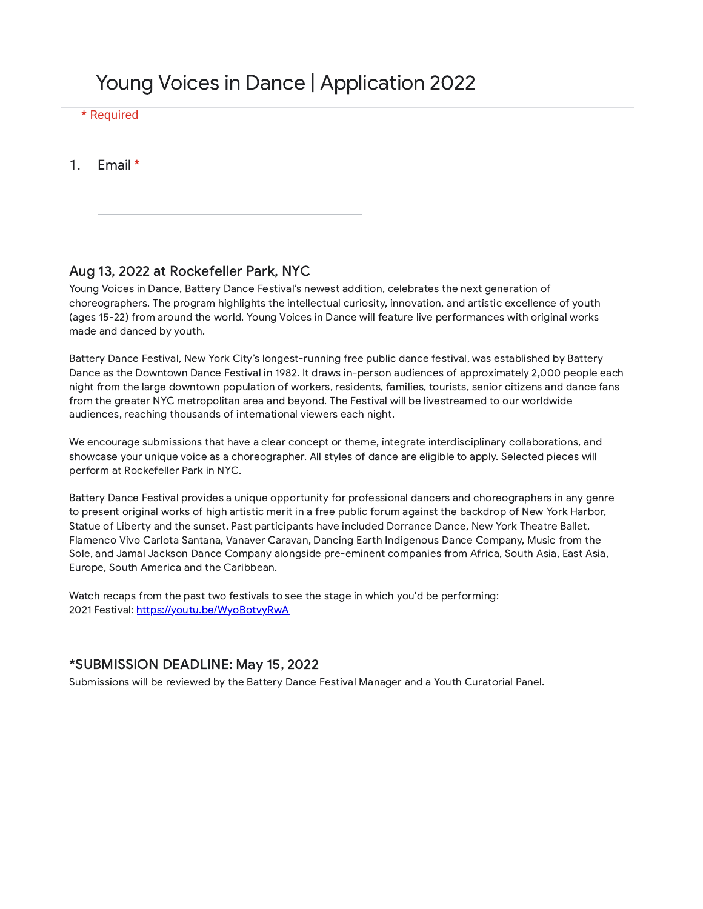# Young Voices in Dance | Application 2022

### \* Required

1. Email \*

### Aug 13, 2022 at Rockefeller Park, NYC

Young Voices in Dance, Battery Dance Festival's newest addition, celebrates the next generation of choreographers. The program highlights the intellectual curiosity, innovation, and artistic excellence of youth (ages 15-22) from around the world. Young Voices in Dance will feature live performances with original works made and danced by youth.

Battery Dance Festival, New York City's longest-running free public dance festival, was established by Battery Dance as the Downtown Dance Festival in 1982. It draws in-person audiences of approximately 2,000 people each night from the large downtown population of workers, residents, families, tourists, senior citizens and dance fans from the greater NYC metropolitan area and beyond. The Festival will be livestreamed to our worldwide audiences, reaching thousands of international viewers each night.

We encourage submissions that have a clear concept or theme, integrate interdisciplinary collaborations, and showcase your unique voice as a choreographer. All styles of dance are eligible to apply. Selected pieces will perform at Rockefeller Park in NYC.

Battery Dance Festival provides a unique opportunity for professional dancers and choreographers in any genre to present original works of high artistic merit in a free public forum against the backdrop of New York Harbor, Statue of Liberty and the sunset. Past participants have included Dorrance Dance, New York Theatre Ballet, Flamenco Vivo Carlota Santana, Vanaver Caravan, Dancing Earth Indigenous Dance Company, Music from the Sole, and Jamal Jackson Dance Company alongside pre-eminent companies from Africa, South Asia, East Asia, Europe, South America and the Caribbean.

Watch recaps from the past two festivals to see the stage in which you'd be performing: 2021 Festival: [https://youtu.be/WyoBotvyRwA](https://www.google.com/url?q=https://youtu.be/WyoBotvyRwA&sa=D&source=editors&ust=1649131346943587&usg=AOvVaw1YbA6kq6bjL55siHXJEjHL)

### \*SUBMISSION DEADLINE: May 15, 2022

Submissions will be reviewed by the Battery Dance Festival Manager and a Youth Curatorial Panel.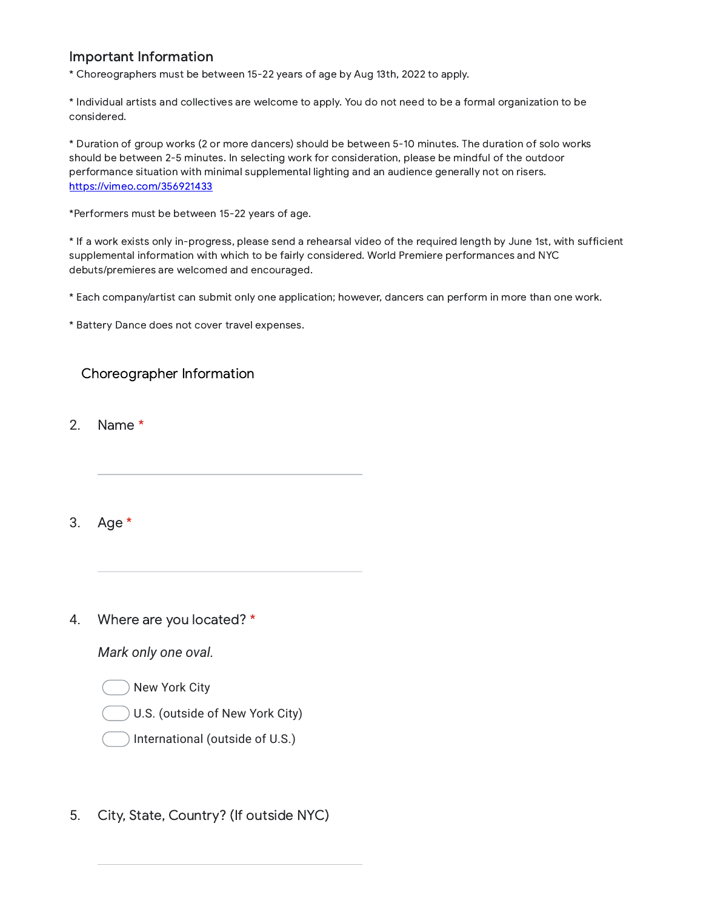## Important Information

\* Choreographers must be between 15-22 years of age by Aug 13th, 2022 to apply.

\* Individual artists and collectives are welcome to apply. You do not need to be a formal organization to be considered.

\* Duration of group works (2 or more dancers) should be between 5-10 minutes. The duration of solo works should be between 2-5 minutes. In selecting work for consideration, please be mindful of the outdoor performance situation with minimal supplemental lighting and an audience generally not on risers. [https://vimeo.com/356921433](https://www.google.com/url?q=https://vimeo.com/356921433&sa=D&source=editors&ust=1649131346944124&usg=AOvVaw1DcfPVbL69oJ96qWEkMulB)

\*Performers must be between 15-22 years of age.

\* If a work exists only in-progress, please send a rehearsal video of the required length by June 1st, with sufficient supplemental information with which to be fairly considered. World Premiere performances and NYC debuts/premieres are welcomed and encouraged.

\* Each company/artist can submit only one application; however, dancers can perform in more than one work.

\* Battery Dance does not cover travel expenses.

## Choreographer Information

2. Name \*

3. Age \*

#### 4. Where are you located? \*

*Mark only one oval.*

New York City

U.S. (outside of New York City)

- International (outside of U.S.)
- 5. City, State, Country? (If outside NYC)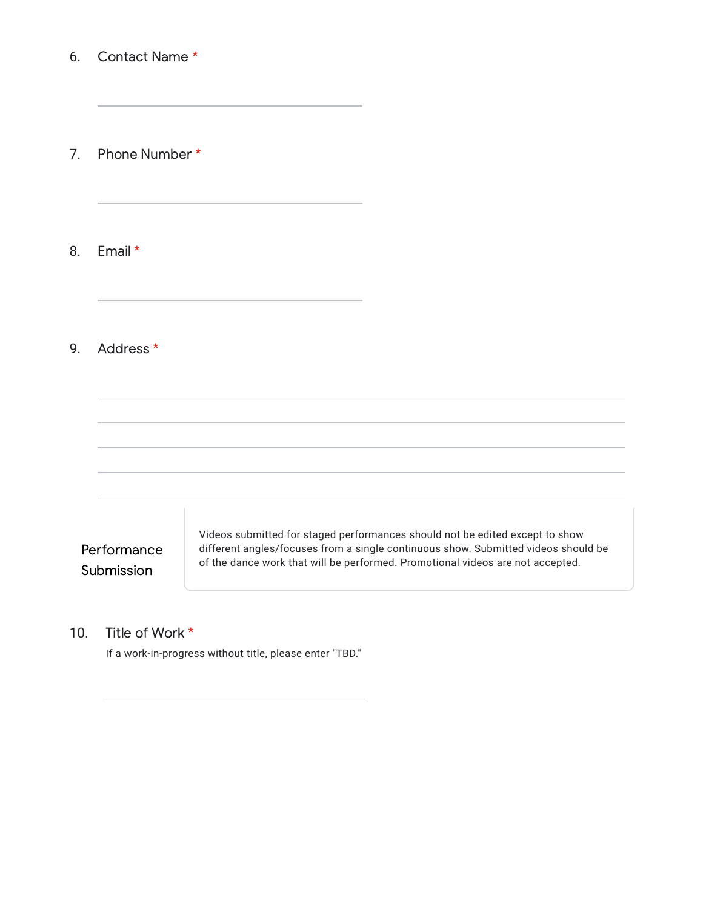#### 6. Contact Name \*

7. Phone Number \*

8. Email \*

#### 9. Address \*



#### 10. Title of Work \*

If a work-in-progress without title, please enter "TBD."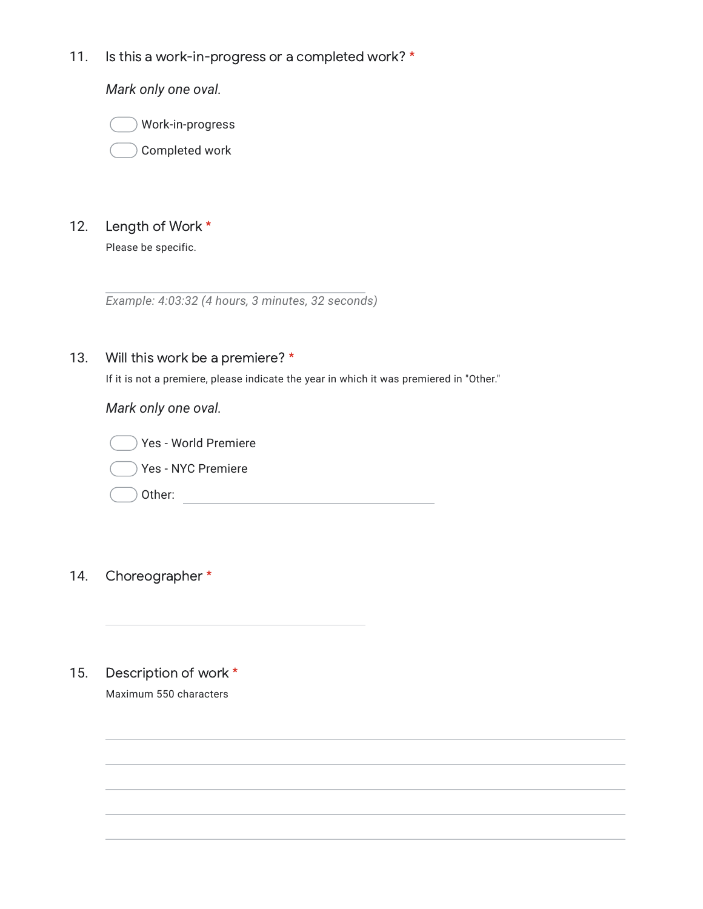11. Is this a work-in-progress or a completed work? \*

*Mark only one oval.*

Work-in-progress

Completed work

12. Length of Work \*

Please be specific.

*Example: 4:03:32 (4 hours, 3 minutes, 32 seconds)*

13. Will this work be a premiere? \*

If it is not a premiere, please indicate the year in which it was premiered in "Other."

*Mark only one oval.*



- 14. Choreographer \*
- 15. Description of work \* Maximum 550 characters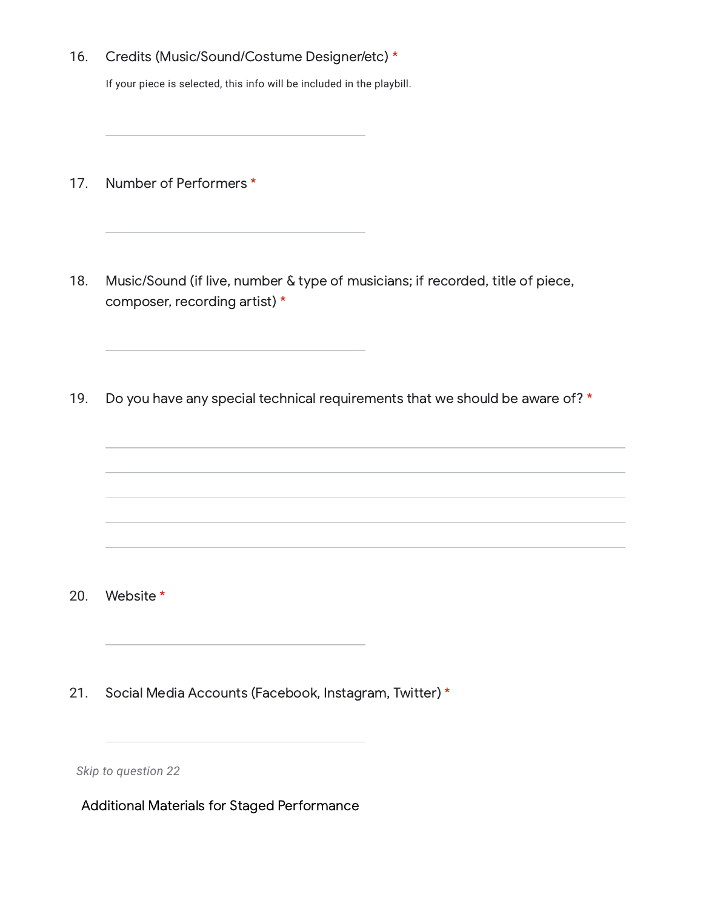16. Credits (Music/Sound/Costume Designer/etc) \*

If your piece is selected, this info will be included in the playbill.

- 17. Number of Performers \*
- 18. Music/Sound (if live, number & type of musicians; if recorded, title of piece, composer, recording artist) \*
- 19. Do you have any special technical requirements that we should be aware of? \*

- 20. Website \*
- 21. Social Media Accounts (Facebook, Instagram, Twitter) \*

*Skip to question 22*

Additional Materials for Staged Performance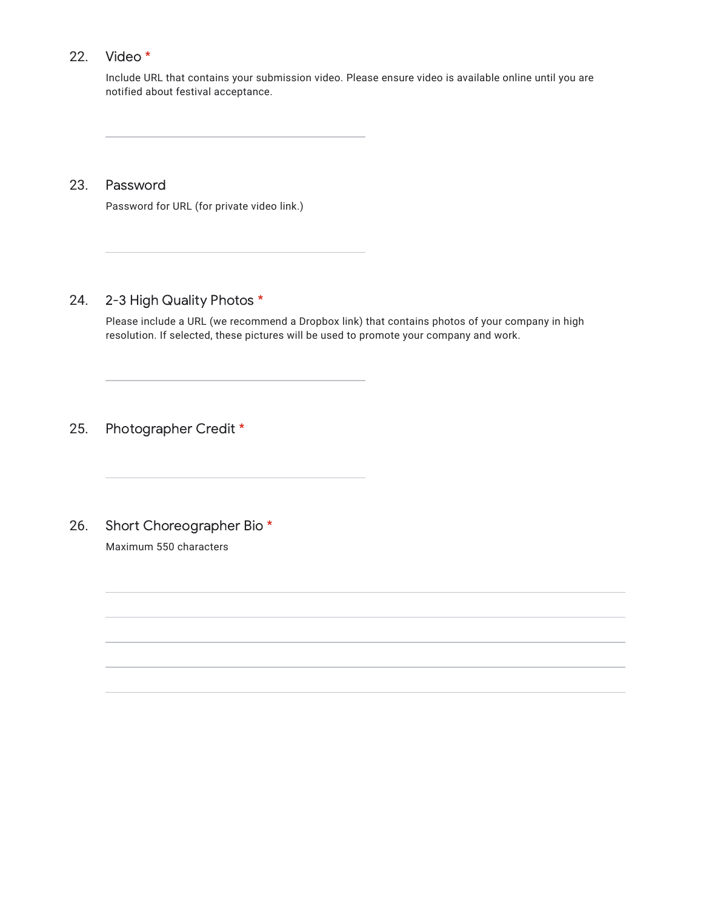#### 22. Video \*

Include URL that contains your submission video. Please ensure video is available online until you are notified about festival acceptance.

23. Password

Password for URL (for private video link.)

#### 24. 2-3 High Quality Photos \*

Please include a URL (we recommend a Dropbox link) that contains photos of your company in high resolution. If selected, these pictures will be used to promote your company and work.

25. Photographer Credit \*

26. Short Choreographer Bio \* Maximum 550 characters